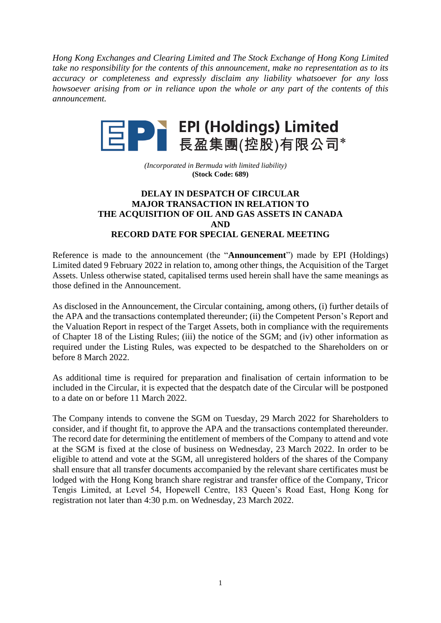*Hong Kong Exchanges and Clearing Limited and The Stock Exchange of Hong Kong Limited take no responsibility for the contents of this announcement, make no representation as to its accuracy or completeness and expressly disclaim any liability whatsoever for any loss howsoever arising from or in reliance upon the whole or any part of the contents of this announcement.*



*(Incorporated in Bermuda with limited liability)* **(Stock Code: 689)**

## **DELAY IN DESPATCH OF CIRCULAR MAJOR TRANSACTION IN RELATION TO THE ACQUISITION OF OIL AND GAS ASSETS IN CANADA AND RECORD DATE FOR SPECIAL GENERAL MEETING**

Reference is made to the announcement (the "**Announcement**") made by EPI (Holdings) Limited dated 9 February 2022 in relation to, among other things, the Acquisition of the Target Assets. Unless otherwise stated, capitalised terms used herein shall have the same meanings as those defined in the Announcement.

As disclosed in the Announcement, the Circular containing, among others, (i) further details of the APA and the transactions contemplated thereunder; (ii) the Competent Person's Report and the Valuation Report in respect of the Target Assets, both in compliance with the requirements of Chapter 18 of the Listing Rules; (iii) the notice of the SGM; and (iv) other information as required under the Listing Rules, was expected to be despatched to the Shareholders on or before 8 March 2022.

As additional time is required for preparation and finalisation of certain information to be included in the Circular, it is expected that the despatch date of the Circular will be postponed to a date on or before 11 March 2022.

The Company intends to convene the SGM on Tuesday, 29 March 2022 for Shareholders to consider, and if thought fit, to approve the APA and the transactions contemplated thereunder. The record date for determining the entitlement of members of the Company to attend and vote at the SGM is fixed at the close of business on Wednesday, 23 March 2022. In order to be eligible to attend and vote at the SGM, all unregistered holders of the shares of the Company shall ensure that all transfer documents accompanied by the relevant share certificates must be lodged with the Hong Kong branch share registrar and transfer office of the Company, Tricor Tengis Limited, at Level 54, Hopewell Centre, 183 Queen's Road East, Hong Kong for registration not later than 4:30 p.m. on Wednesday, 23 March 2022.